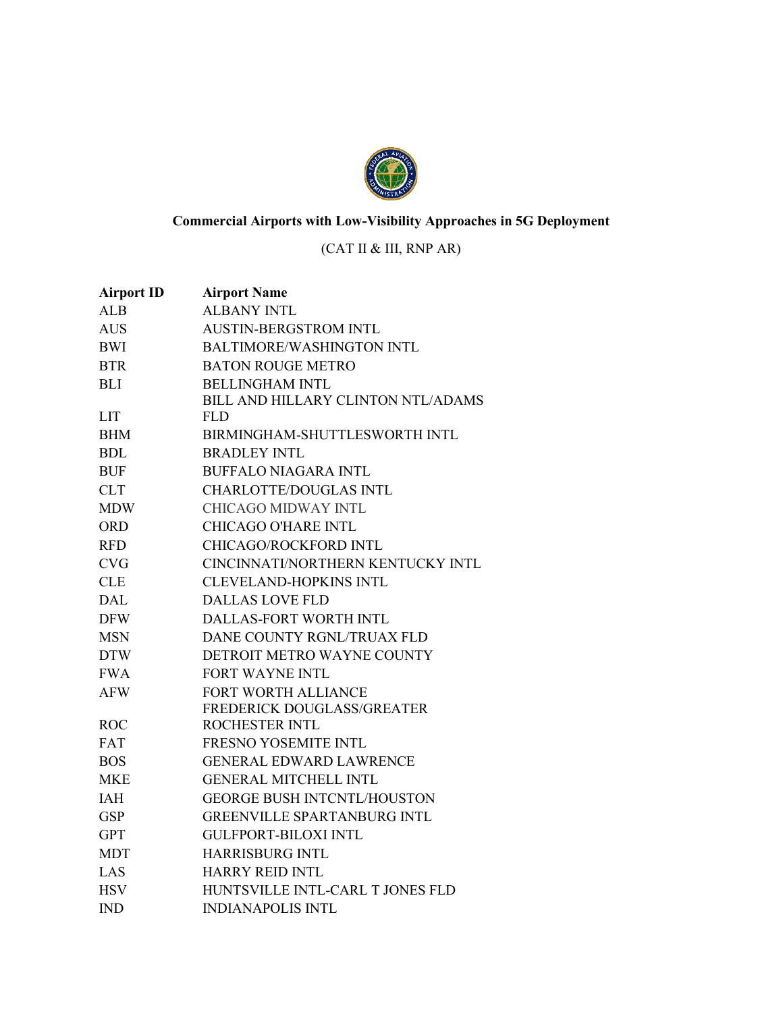

## **Commercial Airports with Low-Visibility Approaches in 5G Deployment**

## (CAT II & III, RNP AR)

| <b>Airport ID</b> | <b>Airport Name</b>                |
|-------------------|------------------------------------|
| <b>ALB</b>        | <b>ALBANY INTL</b>                 |
| <b>AUS</b>        | <b>AUSTIN-BERGSTROM INTL</b>       |
| <b>BWI</b>        | <b>BALTIMORE/WASHINGTON INTL</b>   |
| <b>BTR</b>        | <b>BATON ROUGE METRO</b>           |
| <b>BLI</b>        | <b>BELLINGHAM INTL</b>             |
|                   | BILL AND HILLARY CLINTON NTL/ADAMS |
| <b>LIT</b>        | <b>FLD</b>                         |
| <b>BHM</b>        | BIRMINGHAM-SHUTTLESWORTH INTL      |
| <b>BDL</b>        | <b>BRADLEY INTL</b>                |
| <b>BUF</b>        | <b>BUFFALO NIAGARA INTL</b>        |
| <b>CLT</b>        | <b>CHARLOTTE/DOUGLAS INTL</b>      |
| <b>MDW</b>        | <b>CHICAGO MIDWAY INTL</b>         |
| <b>ORD</b>        | <b>CHICAGO O'HARE INTL</b>         |
| <b>RFD</b>        | CHICAGO/ROCKFORD INTL              |
| <b>CVG</b>        | CINCINNATI/NORTHERN KENTUCKY INTL  |
| <b>CLE</b>        | <b>CLEVELAND-HOPKINS INTL</b>      |
| <b>DAL</b>        | <b>DALLAS LOVE FLD</b>             |
| <b>DFW</b>        | <b>DALLAS-FORT WORTH INTL</b>      |
| <b>MSN</b>        | DANE COUNTY RGNL/TRUAX FLD         |
| <b>DTW</b>        | DETROIT METRO WAYNE COUNTY         |
| <b>FWA</b>        | <b>FORT WAYNE INTL</b>             |
| <b>AFW</b>        | FORT WORTH ALLIANCE                |
|                   | FREDERICK DOUGLASS/GREATER         |
| <b>ROC</b>        | ROCHESTER INTL                     |
| <b>FAT</b>        | <b>FRESNO YOSEMITE INTL</b>        |
| <b>BOS</b>        | <b>GENERAL EDWARD LAWRENCE</b>     |
| <b>MKE</b>        | <b>GENERAL MITCHELL INTL</b>       |
| IAH               | <b>GEORGE BUSH INTCNTL/HOUSTON</b> |
| <b>GSP</b>        | <b>GREENVILLE SPARTANBURG INTL</b> |
| <b>GPT</b>        | <b>GULFPORT-BILOXI INTL</b>        |
| <b>MDT</b>        | <b>HARRISBURG INTL</b>             |
| LAS               | <b>HARRY REID INTL</b>             |
| <b>HSV</b>        | HUNTSVILLE INTL-CARL T JONES FLD   |
| <b>IND</b>        | <b>INDIANAPOLIS INTL</b>           |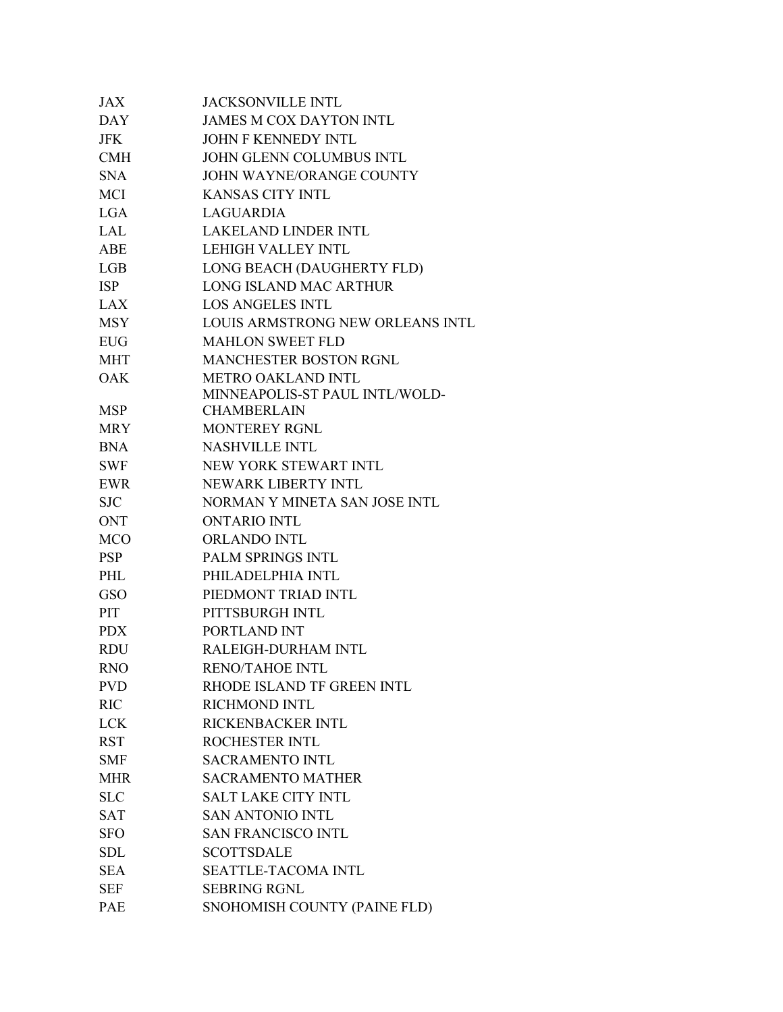| JAX        | <b>JACKSONVILLE INTL</b>         |
|------------|----------------------------------|
| <b>DAY</b> | <b>JAMES M COX DAYTON INTL</b>   |
| <b>JFK</b> | <b>JOHN F KENNEDY INTL</b>       |
| <b>CMH</b> | JOHN GLENN COLUMBUS INTL         |
| <b>SNA</b> | JOHN WAYNE/ORANGE COUNTY         |
| MCI        | <b>KANSAS CITY INTL</b>          |
| <b>LGA</b> | <b>LAGUARDIA</b>                 |
| LAL        | <b>LAKELAND LINDER INTL</b>      |
| ABE        | <b>LEHIGH VALLEY INTL</b>        |
| LGB        | LONG BEACH (DAUGHERTY FLD)       |
| <b>ISP</b> | LONG ISLAND MAC ARTHUR           |
| LAX        | <b>LOS ANGELES INTL</b>          |
| <b>MSY</b> | LOUIS ARMSTRONG NEW ORLEANS INTL |
| <b>EUG</b> | <b>MAHLON SWEET FLD</b>          |
| <b>MHT</b> | <b>MANCHESTER BOSTON RGNL</b>    |
| <b>OAK</b> | METRO OAKLAND INTL               |
|            | MINNEAPOLIS-ST PAUL INTL/WOLD-   |
| <b>MSP</b> | <b>CHAMBERLAIN</b>               |
| <b>MRY</b> | <b>MONTEREY RGNL</b>             |
| <b>BNA</b> | <b>NASHVILLE INTL</b>            |
| <b>SWF</b> | NEW YORK STEWART INTL            |
| <b>EWR</b> | NEWARK LIBERTY INTL              |
| <b>SJC</b> | NORMAN Y MINETA SAN JOSE INTL    |
| <b>ONT</b> | <b>ONTARIO INTL</b>              |
| <b>MCO</b> | ORLANDO INTL                     |
| <b>PSP</b> | PALM SPRINGS INTL                |
| PHL        | PHILADELPHIA INTL                |
| <b>GSO</b> | PIEDMONT TRIAD INTL              |
| PIT        | PITTSBURGH INTL                  |
| <b>PDX</b> | PORTLAND INT                     |
| <b>RDU</b> | RALEIGH-DURHAM INTL              |
| <b>RNO</b> | <b>RENO/TAHOE INTL</b>           |
| <b>PVD</b> | RHODE ISLAND TF GREEN INTL       |
| <b>RIC</b> | <b>RICHMOND INTL</b>             |
| <b>LCK</b> | RICKENBACKER INTL                |
| <b>RST</b> | ROCHESTER INTL                   |
| <b>SMF</b> | <b>SACRAMENTO INTL</b>           |
| <b>MHR</b> | <b>SACRAMENTO MATHER</b>         |
| <b>SLC</b> | <b>SALT LAKE CITY INTL</b>       |
| <b>SAT</b> | <b>SAN ANTONIO INTL</b>          |
| <b>SFO</b> | <b>SAN FRANCISCO INTL</b>        |
| <b>SDL</b> | <b>SCOTTSDALE</b>                |
| <b>SEA</b> | <b>SEATTLE-TACOMA INTL</b>       |
| <b>SEF</b> | <b>SEBRING RGNL</b>              |
| PAE        | SNOHOMISH COUNTY (PAINE FLD)     |